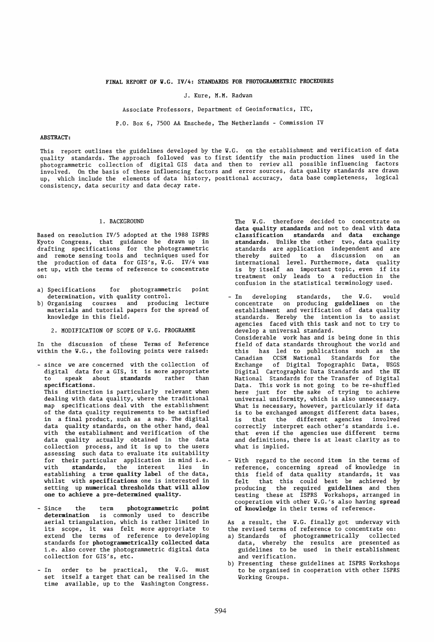J. Kure, M.M. Radwan

Associate Professors, Department of Geoinformatics, lTC,

P.O. Box 6, 7500 AA Enschede, The Netherlands - Commission IV

# ABSTRACT:

This report outlines the guidelines developed by the V.G. on the establishment and verification of data quality standards. The approach followed was to first identify the main production lines used in the photogrammetric collection of digital GIS data and then to review all possible influencing factors involved. On the basis of these influencing factors and error sources, data quality standards are drawn up, which include the elements of data history, positional accuracy, data base completeness, logical consistency, data security and data decay rate.

#### 1. BACKGROUND

Based on resolution IV/s adopted at the 1988 ISPRS Kyoto Congress, that guidance be drawn up in drafting specifications for the photogrammetric and remote sensing tools and techniques used for the production of data for GIS's, V.G. IV/4 was set up, with the terms of reference to concentrate on:

- a) Specifications for photogrammetric point determination, with quality control.<br>b) Organising courses and produci
- b) Organising courses and producing lecture materials and tutorial papers for the spread of knowledge in this field.
	- 2. MODIFICATION OF SCOPE OF V.G. PROGRAMME

In the discussion of these Terms of Reference within the V.G., the following points were raised:

- since we are concerned with the collection of digital data for a GIS, it is more appropriate to speak about standards rather than specifications. This distinction is particularly relevant when dealing with data quality, where the traditional map specifications deal with the establishment of the data quality requirements to be satisfied in a final product, such as a map. The digital data quality standards, on the other hand, deal with the establishment and verification of the data quality actually obtained in the data collection process, and it is up to the users assessing such data to evaluate its suitability for their particular application in mind i.e.<br>with standards, the interest lies in standards, the interest establishing a true quality label of the data, whilst with specifications one is interested in setting up numerical thresholds that will allow one to achieve a pre-determined quality.
- Since the term photogrammetric point determination is commonly used to describe aerial triangulation, which is rather limited in its scope, it was felt more appropriate to extend the terms of reference to developing standards for photogrammetrically collected data i.e. also cover the photogrammetric digital data collection for GIS's, etc.
- In order to be practical, the V.G. must set itself a target that can be realised in the time available, up to the Vashington Congress.

The W.G. therefore decided to concentrate on data quality standards and not to deal with data classification standards and data exchange standards. Unlike the other two, data quality standards are application independent and are thereby suited to a discussion on an international level. Furthermore, data quality is by itself an important topic, even if its treatment only leads to a reduction in the confusion in the statistical terminology used.

- In developing standards, the W.G. would concentrate on producing guidelines on the estabiishment and verification of data quality standards. Hereby the intention is to assist agencies faced with this task and not to try to develop a universal standard. Considerable work has and is being done in this field of data standards throughout the world and this has led to publications such as the Canadian CCSM National Standards for the Exchange of Digital Topographic Data, USGS Digital Cartographic Data Standards and the UK National Standards for the Transfer of Digital Data. This work is not going to be re-shuffled here just for the sake of trying to achieve universal uniformity, which is also unnecessary. What is necessary, however, particularly if data is to be exchanged amongst different data bases, is that the different agencies involved correctly interpret each other's standards i.e. that even if the agencies use different terms and definitions, there is at least clarity as to what is implied.
- With regard to the second item in the terms of reference, concerning spread of knowledge in this field of data quality standards, it was felt that this could best be achieved by producing the required guidelines and then testing these at ISPRS Workshops, arranged in cooperation with other W.G.'s also having spread of knowledge in their terms of reference.

As a result, the W.G. finally got underway with the revised terms of reference to concentrate on:

- a) Standards of photogrammetrically collected data, whereby the results are presented as guidelines to be used in their establishment and verification.
- b) Presenting these guidelines at ISPRS Workshops to be organised in cooperation with other ISPRS Working Groups.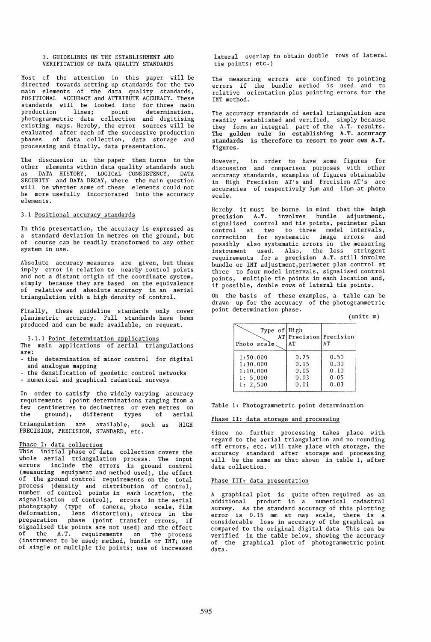#### 3. GUIDELINES ON THE ESTABLISHMENT AND VERIFICATION OF DATA QUALITY STANDARDS

Most of the attention in this paper will be directed towards setting up standards for the *two*  main elements of the data quality standards, POSITIONAL ACCURACY and ATTRIBUTE ACCURACY. These standards will be looked into for three main production lines; point determination, photogrammetric data collection and digitising existing maps. Hereby, the error sources will be evaluated after each of the successive production phases of data collection, data storage and processing and finally, data presentation.

The discussion in the paper then turns to the other elements within data quality standards such as DATA HISTORY, LOGICAL CONSISTENCY, DATA SECURITY and DATA DECAY, where the main question will be whether some of these elements could not be more usefully incorporated into the accuracy elements.

# 3.1 Positional accuracy standards

In this presentation, the accuracy is expressed as a standard deviation in metres on the ground, but of course can be readily transformed to any other system in use.

Absolute accuracy measures are given, but these imply error in relation to nearby control points and not a distant origin of the coordinate system, simply because they are based on the equivalence of relative and absolute accuracy in an aerial triangulation with a high density of control.

Finally, these guideline standards only cover planimetric accuracy. Full standards have been produced and can be made available, on request.

3.1.1 Point determination applications

The main applications of aerial triangulations are:<br>- the

determination of minor control for digital and analogue mapping

- the densification of geodetic control networks
- numerical and graphical cadastral surveys

In order to satisfy the widely varying accuracy requirements (point determinations ranging from a few centimetres to decimetres or even metres on the ground), different types of aerial

triangulation are available, such as HIGH PRECISION, PRECISION, STANDARD, etc.

# Phase I: data collection

This initial phase of data collection covers the whole aerial triangulation process. The input errors include the errors in ground control (measuring equipment and method used), the effect of the ground control requirements on the total process (density and distribution of control, number of control points in each location, the signalisation of control), errors in the aerial photography (type of camera, photo scale, film deformation, lens distortion), errors in the preparation phase (point transfer errors, if signalised tie points are not used) and the effect of the A.T. requirements on the process (instrument to be used; method, bundle or IMT; use of single or mUltiple tie points; use of increased

lateral overlap to obtain double rows of lateral tie points; etc.)

The measuring errors are confined to pointing errors if the bundle method is used and to relative orientation plus pointing errors for the IMT method.

The accuracy standards of aerial triangulation are readily established and verified, simply because they form an integral part of the A.T. results. The golden rule in establishing A.T. accuracy standards is therefore to resort to your own A.T. figures.

However, in order to have some figures for discussion and comparison purposes with other accuracy standards, examples of figures obtainable in High Precision AT's and Precision AT's are  $accura\bar{c}ies$  of respectively  $5\mu$ m and  $10\mu$ m at photo scale.

Hereby it must be borne in mind that the high precision A.T. involves bundle adjustment, signalised control and tie points, perimeter plan control at two to three model intervals, correction for systematic image errors and possibly also systematic errors in the measuring instrument used. Also, the less stringent requirements for a precision A.T. still involve bundle or IMT adjustment,perimeter plan control at three to four model intervals, signalised control points, multiple tie points in each location and, if possible, double rows of lateral tie points.

On the basis of these examples, a table can be drawn up for the accuracy of the photogrammetric point determination phase.

|                                                          |                                      |                                      | (units m) |  |
|----------------------------------------------------------|--------------------------------------|--------------------------------------|-----------|--|
| Type of High<br>Photo scale.                             | AT Precision Precision<br>A'T        | AТ                                   |           |  |
| 1:50,000<br>1:30,000<br>1:10,000<br>1: 5,000<br>1: 2,500 | 0.25<br>0.15<br>0.05<br>0.03<br>0.01 | 0.50<br>0.30<br>0.10<br>0.05<br>0.03 |           |  |

Table 1: Photogrammetric point determination

#### Phase II: data storage and processing

Since no further processing takes place with regard to the aerial triangulation and no rounding off errors, etc. will take place with storage, the accuracy standard after storage and processing will be the same as that shown in table 1, after data collection.

# Phase III: data presentation

A graphical plot is quite often required as an additional product in a numerical cadastral survey. As the standard accuracy of this plotting error is 0.15 mm at map scale, there is a considerable loss in accuracy of the graphical as compared to the original digital data. This can be verified in the table below, showing the accuracy of the graphical plot of photogrammetric point data.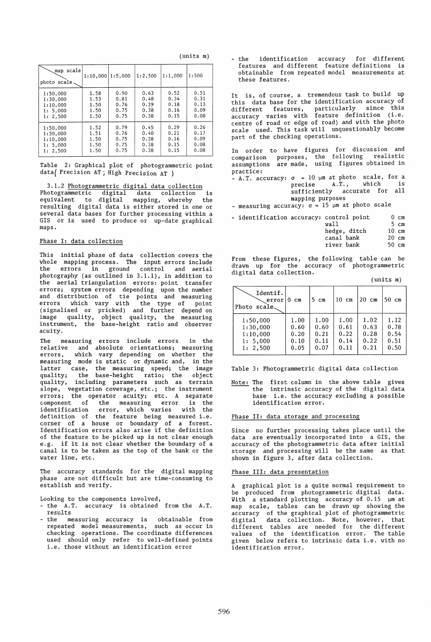| (units) | m) |
|---------|----|
|---------|----|

| scale<br>map<br>photo scale                                 | $1:10,000$   1:5,000                 |                                      | 1:2,500                              | 1:1,000                              | 1:500                                |
|-------------------------------------------------------------|--------------------------------------|--------------------------------------|--------------------------------------|--------------------------------------|--------------------------------------|
| 1:50.000<br>1:30,000<br>1:10.000<br>1: 5,000<br>2,500<br>1: | 1.58<br>1.53<br>1.50<br>1.50<br>1.50 | 0.90<br>0.81<br>0.76<br>0.75<br>0.75 | 0.63<br>0.48<br>0.39<br>0.38<br>0.38 | 0.52<br>0.34<br>0.18<br>0.16<br>0.15 | 0.51<br>0.31<br>0.13<br>0.09<br>0.08 |
| 1:50.000<br>1:30,000<br>1:10,000<br>1: 5.000<br>1: 2,500    | 1.52<br>1.51<br>1.50<br>1.50<br>1.50 | 0.79<br>0.76<br>0.75<br>0.75<br>0.75 | 0.45<br>0.40<br>0.38<br>0.38<br>0.38 | 0.29<br>0.21<br>0.16<br>0.15<br>0.15 | 0.26<br>0.17<br>0.09<br>0.08<br>0.08 |

Table 2: Graphical plot of photogrammetric point datal Precision AT j High Precision AT )

# 3.1.2 Photogrammetric digital data collection Photogrammetric digital data collection is equivalent to digital mapping, whereby the resulting digital data is either stored in one or several data bases for further processing within a GIS or is used to produce or up-date graphical maps.

#### Phase I: data collection

This initial phase of data collection covers the whole mapping process. The input errors include the errors in ground control and aerial photography (as outlined in 3.1.1), in addition to the aerial triangulation errors: point transfer errors; system errors depending upon the number and distribution of tie points and measuring errors which vary with the type of point (signalised or pricked) and further depend on image quality, object quality, the measuring instrument, the base-height ratio and observer acuity.

The measuring errors include errors in the relative and absolute orientations; measuring errors, which vary depending on whether the measuring mode is static or dynamic and, in the latter case, the measuring speed; the image quality; the base-height ratio; the object quality, including parameters such as terrain slope, vegetation coverage, etc.; the instrument errors; the operator acuity; etc. A separate component of the measuring error is the identification error, which varies with the identification error, which varies with the<br>definition of the feature being measured i.e. corner of a house or boundary of a forest. Identification errors also arise if the definition of the feature to be picked up is not clear enough e.g. if it is not clear whether the boundary of a canal is to be taken as the top of the bank or the water line, etc.

The accuracy standards for the digital mapping phase are not difficult but are time-consuming to establish and verify.

Looking to the components involved,

- the A.T. accuracy is obtained from the A.T. results
- the measuring accuracy is obtainable from repeated model measurements, such as occur in checking operations. The coordinate differences used should only refer to well-defined points i.e. those without an identification error

- the identification accuracy for different features and different feature definitions is obtainable from repeated model measurements at these features.

It is, of course, a tremendous task to build up this data base for the identification accuracy of different features, particularly since this accuracy varies with feature definition (i.e. centre of road or edge of road) and with the photo scale used. This task will unquestionably become part of the checking operations.

In order to have figures for discussion and comparison purposes, the following realistic assumptions are made, using figures obtained in practice:

 $A.$  T. accuracy:  $\sigma = 10$   $\mu$ m at photo scale, for a precise A.T., which is A.T., which sufficiently accurate for all mapping purposes

- measuring accuracy:  $\sigma = 15$  µm at photo scale

- identification accuracy: control point  $0 \text{ cm}$ 

| wall         | 5 cm            |
|--------------|-----------------|
| hedge, ditch | $10 \text{ cm}$ |
| canal bank   | $20 \text{ cm}$ |
| river bank   | $50 \text{ cm}$ |

From these figures, the following table can be drawn up for the accuracy of photogrammetric digital data collection.

(units m)

| Identif.<br>error<br>Photo scale | ∣0 cm | 5 cm | $10$ cm | $20 \text{ cm}$ | $50 \text{ cm}$ |
|----------------------------------|-------|------|---------|-----------------|-----------------|
| 1:50,000                         | 1.00  | 1.00 | 1.00    | 1.02            | 1.12            |
| 1:30,000                         | 0.60  | 0.60 | 0.61    | 0.63            | 0.78            |
| 1:10.000                         | 0.20  | 0.21 | 0.22    | 0.28            | 0.54            |
| 1: 5,000                         | 0.10  | 0.11 | 0.14    | 0.22            | 0.51            |
| 1: 2,500                         | 0.05  | 0.07 | 0.11    | 0.21            | 0.50            |

Table 3: Photogrammetric digital data collection

Note: The first column in the above table gives the intrinsic accuracy of the digital data base i.e. the accuracy excluding a possible identification error.

#### Phase II: data storage and processing

Since no further processing takes place until the data are eventually incorporated into a GIS, the accuracy of the photogrammetric data after initial storage and processing will be the same as that shown in figure 3, after data collection.

## Phase III: data presentation

A graphical plot is a quite normal requirement to<br>be produced from photogrammetric digital data. produced from photogrammetric digital data. With a standard plotting accuracy of  $0.15$   $\mu$ m at map scale, tables can be drawn up showing the accuracy of the graphical plot of photogrammetric digital data collection. Note, however, that different tables are needed for the different values of the identification error. The table given below refers to intrinsic data i.e. with no identification error.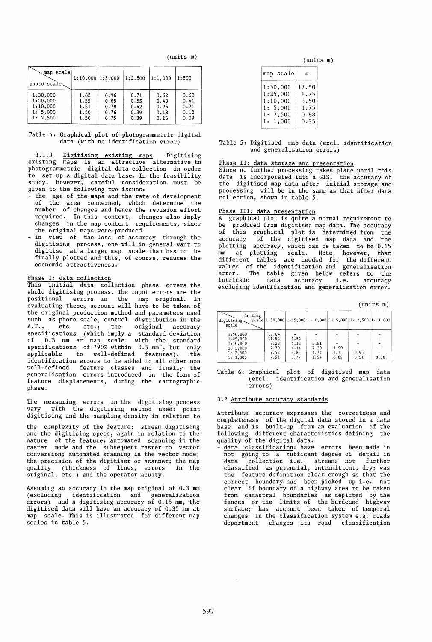(units m)

| scale<br>map<br>photo scale. | $1:10,000$  1:5,000 |      | 1:2.500 | 1:1.000 | 1:500 |
|------------------------------|---------------------|------|---------|---------|-------|
| 1:30,000                     | 1.62                | 0.96 | 0.71    | 0.62    | 0.60  |
| 1:20,000                     | 1.55                | 0.85 | 0.55    | 0.43    | 0.41  |
| 1:10,000                     | 1.51                | 0.78 | 0.42    | 0.25    | 0.21  |
| 1: 5,000                     | 1.50                | 0.76 | 0.39    | 0.18    | 0.12  |
| 1: 2,500                     | 1.50                | 0.75 | 0.39    | 0.16    | 0.09  |

#### Table 4: Graphical plot of photogrammetric digital data (with no identification error)

3.1.3 Digitising existing maps Digitising existing maps is an attractive alternative to photogrammetric digital data collection in order to set up a digital data base. In the feasibility study, however, careful consideration must be given to the following two issues:

- the age of the maps and the rate of development of the area concerned, which determine the number of changes and hence the revision effort required. In this context, changes also imply changes in the map content requirements, since the original maps were produced
- in view of the loss of accuracy through the digitising process, one will in general want to digitise at a larger map scale than has to be finally plotted and this, of course, reduces the economic attractiveness.

# Phase I: data collection

This initial data collection phase covers the whole digitising process. The input errors are the positional errors in the map original. In evaluating these, account will have to be taken of the original production method and parameters used such as photo scale, control distribution in the<br>A.T.. etc. etc.: the original accuracy etc. etc.; the original accuracy specifications (which imply a standard deviation of 0.3 mm at map scale with the standard specifications of "90% within 0.5 mm", but only applicable to well-defined features); the identification errors to be added to all other non well-defined feature classes and finally the generalisation errors introduced in the form of feature displacements, during the cartographic phase.

The measuring errors in the digitising process vary with the digitising method used: point digitising and the sampling density in relation to

the complexity of the feature; stream digitising and the digitising speed, again in relation to the nature of the feature; automated scanning in the raster mode and the subsequent raster to vector conversion; automated scanning in the vector mode; the precision of the digitiser or scanner; the map<br>quality (thickness of lines, errors in the quality (thickness of lines, errors in the original, etc.) and the operator acuity.

Assuming an accuracy in the map original of 0.3 mm (excluding identification and generalisation errors) and a digitising accuracy of 0.15 mm, the digitised data will have an accuracy of 0.35 mm at map scale. This is illustrated for different map scales in table 5.

(units m)

| 17.50<br>8.75<br>3.50<br>1.75<br>0.88 |
|---------------------------------------|
|                                       |

## Table 5: Digitised map data (excl. identification and generalisation errors)

Phase II: data storage and presentation

Since no further processing takes place until this data is incorporated into a GIS, the accuracy of the digitised map data after initial storage and processing will be in the same as that after data collection, shown in table 5.

# Phase III: data presentation<br>A graphical plot is quite a

graphical plot is quite a normal requirement to produced from digitised map data. The accuracy of this graphical plot is determined from the<br>accuracy of the digitised map data and the of the digitised map data and the plotting accuracy, which can be taken to be 0.15 nm at plotting scale. Note, however, that different tables are needed for the different values of the identification and generalisation<br>error. The table given below refers to the error. The table given below refers to the intrinsic data accuracy i.e. accuracy intrinsic data accuracy i.e. accuracy<br>excluding identification and generalisation error.

(units m)

| plotting<br>digitising<br>scale |       |      |      |      |      | scale $ 1:50,000 1:25,000 1:10,000 1:5,000 1:2,500 1:1,000 $ |
|---------------------------------|-------|------|------|------|------|--------------------------------------------------------------|
| 1:50,000                        | 19.04 |      |      |      |      |                                                              |
| 1:25,000                        | 11.52 | 9.52 |      |      |      |                                                              |
| 1:10.000                        | 8.28  | 5.13 | 3.81 |      |      |                                                              |
| 1: 5.000                        | 7.70  | 4.14 | 2.30 | 1,90 |      |                                                              |
| 1: 2,500                        | 7.55  | 3.85 | 1.74 | 1.15 | 0.95 |                                                              |
| 1:1.000                         | 7.51  | 3.77 | 1.54 | 0.82 | 0.51 | 0.38                                                         |

Table 6: Graphical plot of digitised map data (excl. identification and generalisation errors)

# 3.2 Attribute accuracy standards

Attribute accuracy expresses the correctness and completeness of the digital data stored in a data base and is built-up from an evaluation of the following different characteristics defining the quality of the digital data:

data classification: have errors been made in not going to a sufficant degree of detail in data collection i.e. streams not further classified as perennial, intermittent, dry; was the feature definition clear enough so that the correct boundary has been picked up i.e. not clear if boundary of a highway area to be taken from cadastral boundaries as depicted by the fences or the limits of the hardened highway surface; has account been taken of temporal changes in the classification system e.g. roads department changes its road classification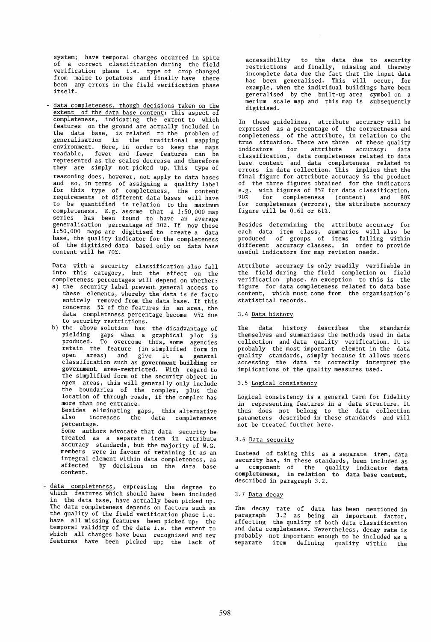system; have temporal changes occurred in spite of a correct classification during the field verification phase i.e. type of crop changed from maize to potatoes and finally have there been any errors in the field verification phase itself.

- data completeness, though decisions taken on the extent of the data base content: this aspect of<br>completeness, indicating the extent to which indicating the extent to which features on the ground are actually included in the data base, is related to the problem of generalisation in the traditional mapping environment. Here, in order to keep the maps readable, fewer and fewer features can be represented as the scales decrease and therefore they are simply not picked up. This type of reasoning does, however, not apply to data bases and so, in terms of assigning a quality label for this type of completeness, the content requirements of different data bases will have to be quantified in relation to the maximum completeness. E.g. assume that a 1:50,000 map series has been found to have an average generalisation percentage of 30%. If now these 1:50,000 maps are digitised to create a data base, the quality indicator for the completeness of the digitised data based only on data base content will be 70%.

Data with a security classification also fall into this category, but the effect on the completeness percentages will depend on whether:

- a) the security label prevent general access to these elements, whereby the data is de facto entirely removed from the data base. If this concerns 5% of the features in an area, the data completeness percentage become 95% due to security restrictions.
- b) the above solution has the disadvantage of yielding gaps when a graphical plot is produced. To overcome this, some agencies retain the feature (in simplified form in<br>open areas) and give it a general open areas) and give it a general<br>classification such as government building or government area-restricted. With regard to the simplified form of the security object in open areas, this will generally only include the boundaries of the complex, plus the location of through roads, if the complex has more than one entrance. more than one entrance.<br>Besides eliminating gaps, this alternative<br>also increases the data completeness increases the data completeness percentage. Some authors advocate that data security be treated as a separate item in attribute accuracy standards, but the majority of W.G. members were in favour of retaining it as an integral element within data completeness, as affected by decisions on the data base
- data completeness, expressing the degree to which features which should have been included in the data base, have actually been picked up. The data completeness depends on factors such as the quality of the field verification phase i.e. have all missing features been picked up; the temporal validity of the data i.e. the extent to which all changes have been recognised and new features have been picked up; the lack of

content.

accessibility to the data due to security restrictions and finally, missing and thereby incomplete data due the fact that the input data has been generalised. This will occur, for example, when the individual buildings have been generalised by the built-up area symbol on a medium scale map and this map is subsequently digitised.

In these guidelines, attribute accuracy will be expressed as a percentage of the correctness and completeness of the attribute, in relation to the true situation. There are three of these quality<br>indicators for attribute accuracy: data indicators for attribute classification, data completeness related to data base. content and data completeness related to errors in data collection. This implies that the final figure for attribute accuracy is the product of the three figures obtained for the indicators e.g. with figures of 85% for data classification, 90% for completeness (content) and 80% for completeness (errors), the attribute accuracy figure will be 0.61 or 61%.

Besides determining the attribute accuracy for each data item class, summaries will also be produced of groups of items falling within different accuracy classes, in order to provide useful indicators for map revision needs.

Attribute accuracy is only readily verifiable in the field during the field completion or field verification phase. An exception to this is the figure for data completeness related to data base content, which must come from the organisation's statistical records.

## 3.4 Data history

The data history describes the standards themselves and summarises the methods used in data collection and data quality verification. It is probably the most important element in the data quality standards, simply because it allows users accessing the data to correctly interpret the implications of the quality measures used.

# 3.5 Logical consistency

Logical consistency is a general term for fidelity in representing features in a data structure. It thus does not belong to the data collection parameters described in these standards and will not be treated further here.

# 3.6 Data security

Instead of taking this as a separate item, data security has, in these standards, been included as a component of the quality indicator data completeness, in relation to data base content, described in paragraph 3.2.

# 3.7 Data decay

The decay rate of data has been mentioned in paragraph 3.2 as being an important factor, affecting the quality of both data classification and data completeness. Nevertheless, decay rate is probably not important enough to be included as a item defining quality within the